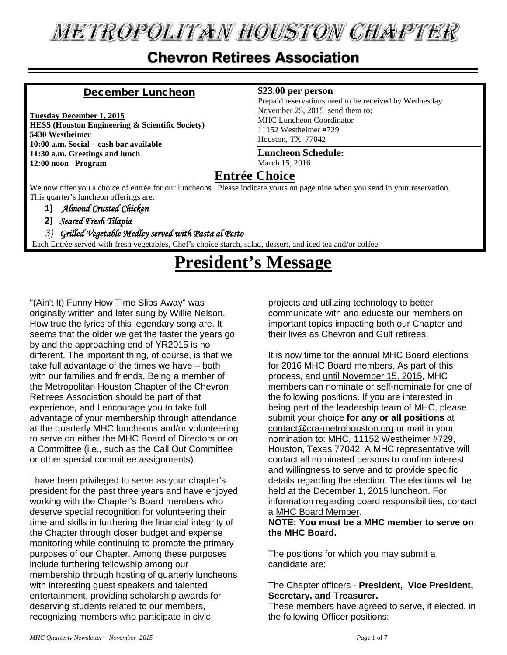# **METROPOLITAN HOUSTON CHAPTER**

#### **Chevron Retirees Association**

#### December Luncheon

**Tuesday December 1, 2015 HESS (Houston Engineering & Scientific Society) 5430 Westheimer 10:00 a.m. Social – cash bar available 11:30 a.m. Greetings and lunch 12:00 noon Program**

#### **\$23.00 per person**

Prepaid reservations need to be received by Wednesday November 25, 2015 send them to: MHC Luncheon Coordinator 11152 Westheimer #729 Houston, TX 77042

**Luncheon Schedule:** March 15, 2016

#### **Entrée Choice**

We now offer you a choice of entrée for our luncheons. Please indicate yours on page nine when you send in your reservation. This quarter's luncheon offerings are:

#### **1)** *Almond Crusted Chicken*

**2)** *Seared Fresh Tilapia* 

#### *3) Grilled Vegetable Medley served with Pasta al Pesto*

Each Entrée served with fresh vegetables, Chef's choice starch, salad, dessert, and iced tea and/or coffee.

# **President's Message**

"(Ain't It) Funny How Time Slips Away" was originally written and later sung by Willie Nelson. How true the lyrics of this legendary song are. It seems that the older we get the faster the years go by and the approaching end of YR2015 is no different. The important thing, of course, is that we take full advantage of the times we have – both with our families and friends. Being a member of the Metropolitan Houston Chapter of the Chevron Retirees Association should be part of that experience, and I encourage you to take full advantage of your membership through attendance at the quarterly MHC luncheons and/or volunteering to serve on either the MHC Board of Directors or on a Committee (i.e., such as the Call Out Committee or other special committee assignments).

I have been privileged to serve as your chapter's president for the past three years and have enjoyed working with the Chapter's Board members who deserve special recognition for volunteering their time and skills in furthering the financial integrity of the Chapter through closer budget and expense monitoring while continuing to promote the primary purposes of our Chapter. Among these purposes include furthering fellowship among our membership through hosting of quarterly luncheons with interesting guest speakers and talented entertainment, providing scholarship awards for deserving students related to our members, recognizing members who participate in civic

projects and utilizing technology to better communicate with and educate our members on important topics impacting both our Chapter and their lives as Chevron and Gulf retirees.

It is now time for the annual MHC Board elections for 2016 MHC Board members. As part of this process, and until November 15, 2015, MHC members can nominate or self-nominate for one of the following positions. If you are interested in being part of the leadership team of MHC, please submit your choice **for any or all positions** at [contact@cra-metrohouston.org](mailto:contact@cra-metrohouston.org) or mail in your nomination to: MHC, 11152 Westheimer #729, Houston, Texas 77042. A MHC representative will contact all nominated persons to confirm interest and willingness to serve and to provide specific details regarding the election. The elections will be held at the December 1, 2015 luncheon. For information regarding board responsibilities, contact a [MHC Board Member.](http://2uuh.mj.am/link/2uuh/x1n88n7z2l51/1/GBCDZqov2RZS3BdhQJ0PRw/aHR0cDovL3d3dy5jcmEtbWV0cm9ob3VzdG9uLm9yZy91cGxvYWRzLzIwMTVfTUhDX0JvYXJkX29mX0RpcmVjdG9ycy5wZGY)

#### **NOTE: You must be a MHC member to serve on the MHC Board.**

The positions for which you may submit a candidate are:

#### The Chapter officers - **President, Vice President, Secretary, and Treasurer.**

These members have agreed to serve, if elected, in the following Officer positions: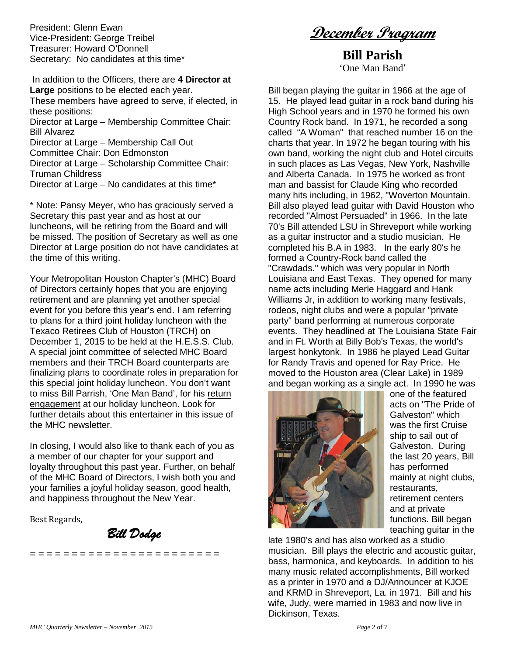President: Glenn Ewan Vice-President: George Treibel Treasurer: Howard O'Donnell Secretary: No candidates at this time\* **December Program**

**Bill Parish** 'One Man Band'

In addition to the Officers, there are **4 Director at Large** positions to be elected each year. These members have agreed to serve, if elected, in these positions:

Director at Large – Membership Committee Chair: Bill Alvarez

- Director at Large Membership Call Out
- Committee Chair: Don Edmonston

Director at Large – Scholarship Committee Chair: Truman Childress

Director at Large – No candidates at this time\*

\* Note: Pansy Meyer, who has graciously served a Secretary this past year and as host at our luncheons, will be retiring from the Board and will be missed. The position of Secretary as well as one Director at Large position do not have candidates at the time of this writing.

Your Metropolitan Houston Chapter's (MHC) Board of Directors certainly hopes that you are enjoying retirement and are planning yet another special event for you before this year's end. I am referring to plans for a third joint holiday luncheon with the Texaco Retirees Club of Houston (TRCH) on December 1, 2015 to be held at the H.E.S.S. Club. A special joint committee of selected MHC Board members and their TRCH Board counterparts are finalizing plans to coordinate roles in preparation for this special joint holiday luncheon. You don't want to miss Bill Parrish, 'One Man Band', for his return engagement at our holiday luncheon. Look for further details about this entertainer in this issue of the MHC newsletter.

In closing, I would also like to thank each of you as a member of our chapter for your support and loyalty throughout this past year. Further, on behalf of the MHC Board of Directors, I wish both you and your families a joyful holiday season, good health, and happiness throughout the New Year.

Best Regards,

*Bill Dodge*

**= = = = = = = = = = = = = = = = = = = = = = =**

Bill began playing the guitar in 1966 at the age of 15. He played lead guitar in a rock band during his High School years and in 1970 he formed his own Country Rock band. In 1971, he recorded a song called "A Woman" that reached number 16 on the charts that year. In 1972 he began touring with his own band, working the night club and Hotel circuits in such places as Las Vegas, New York, Nashville and Alberta Canada. In 1975 he worked as front man and bassist for Claude King who recorded many hits including, in 1962, "Woverton Mountain. Bill also played lead guitar with David Houston who recorded "Almost Persuaded" in 1966. In the late 70's Bill attended LSU in Shreveport while working as a guitar instructor and a studio musician. He completed his B.A in 1983. In the early 80's he formed a Country-Rock band called the "Crawdads." which was very popular in North Louisiana and East Texas. They opened for many name acts including Merle Haggard and Hank Williams Jr, in addition to working many festivals, rodeos, night clubs and were a popular "private party" band performing at numerous corporate events. They headlined at The Louisiana State Fair and in Ft. Worth at Billy Bob's Texas, the world's largest honkytonk. In 1986 he played Lead Guitar for Randy Travis and opened for Ray Price. He moved to the Houston area (Clear Lake) in 1989 and began working as a single act. In 1990 he was



one of the featured acts on "The Pride of Galveston" which was the first Cruise ship to sail out of Galveston. During the last 20 years, Bill has performed mainly at night clubs, restaurants, retirement centers and at private functions. Bill began teaching guitar in the

late 1980's and has also worked as a studio musician. Bill plays the electric and acoustic guitar, bass, harmonica, and keyboards. In addition to his many music related accomplishments, Bill worked as a printer in 1970 and a DJ/Announcer at KJOE and KRMD in Shreveport, La. in 1971. Bill and his wife, Judy, were married in 1983 and now live in Dickinson, Texas.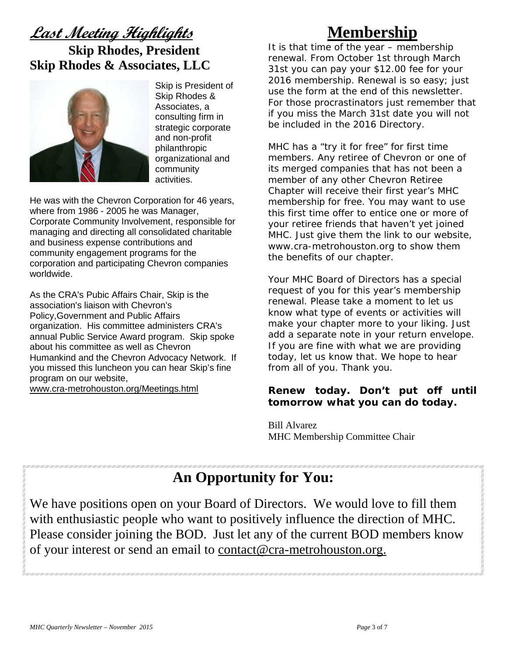# **Last Meeting Highlights**

#### **Skip Rhodes, President Skip Rhodes & Associates, LLC**



Skip is President of Skip Rhodes & Associates, a consulting firm in strategic corporate and non-profit philanthropic organizational and community activities.

He was with the Chevron Corporation for 46 years, where from 1986 - 2005 he was Manager, Corporate Community Involvement, responsible for managing and directing all consolidated charitable and business expense contributions and community engagement programs for the corporation and participating Chevron companies worldwide.

As the CRA's Pubic Affairs Chair, Skip is the association's liaison with Chevron's Policy,Government and Public Affairs organization. His committee administers CRA's annual Public Service Award program. Skip spoke about his committee as well as Chevron Humankind and the Chevron Advocacy Network. If you missed this luncheon you can hear Skip's fine program on our website,

[www.cra-metrohouston.org/Meetings.html](http://www.cra-metrohouston.org/Meetings.html) 

## **Membership**

It is that time of the year – membership renewal. From October 1st through March 31st you can pay your \$12.00 fee for your 2016 membership. Renewal is so easy; just use the form at the end of this newsletter. For those procrastinators just remember that if you miss the March 31st date you will not be included in the 2016 Directory.

MHC has a "try it for free" for first time members. Any retiree of Chevron or one of its merged companies that has not been a member of any other Chevron Retiree Chapter will receive their first year's MHC membership for free. You may want to use this first time offer to entice one or more of your retiree friends that haven't yet joined MHC. Just give them the link to our website, [www.cra-metrohouston.org](http://www.cra-metrohouston.org/) to show them the benefits of our chapter.

Your MHC Board of Directors has a special request of you for this year's membership renewal. Please take a moment to let us know what type of events or activities will make your chapter more to your liking. Just add a separate note in your return envelope. If you are fine with what we are providing today, let us know that. We hope to hear from all of you. Thank you.

#### **Renew today. Don't put off until tomorrow what you can do today.**

Bill Alvarez MHC Membership Committee Chair

#### **An Opportunity for You:**

We have positions open on your Board of Directors. We would love to fill them with enthusiastic people who want to positively influence the direction of MHC. Please consider joining the BOD. Just let any of the current BOD members know of your interest or send an email to [contact@cra-metrohouston.org.](mailto:contact@cra-metrohouston.org)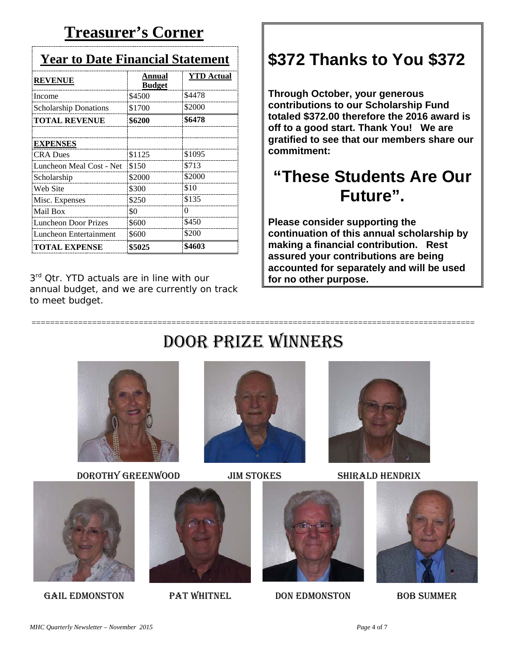## **Treasurer's Corner**

| <b>Year to Date Financial Statement</b> |                         |                   |  |
|-----------------------------------------|-------------------------|-------------------|--|
| <b>REVENUE</b>                          | Annual<br><b>Budget</b> | <b>YTD</b> Actual |  |
| Income                                  | \$4500                  | \$4478            |  |
| <b>Scholarship Donations</b>            | \$1700                  | \$2000            |  |
| <b>TOTAL REVENUE</b>                    | \$6200                  | \$6478            |  |
| <b>EXPENSES</b>                         |                         |                   |  |
| <b>CRA</b> Dues                         | \$1125                  | \$1095            |  |
| Luncheon Meal Cost - Net                | \$150                   | \$713             |  |
| Scholarship                             | \$2000                  | \$2000            |  |
| Web Site                                | \$300                   | \$10              |  |
| Misc. Expenses                          | \$250                   | \$135             |  |
| Mail Box                                | \$0                     | $\theta$          |  |
| Luncheon Door Prizes                    | \$600                   | \$450             |  |
| Luncheon Entertainment                  | \$600                   | \$200             |  |
| <b>TOTAL EXPENSE</b>                    | \$5025                  | \$4603            |  |

3<sup>rd</sup> Qtr. YTD actuals are in line with our annual budget, and we are currently on track to meet budget.

# **\$372 Thanks to You \$372**

**Through October, your generous contributions to our Scholarship Fund totaled \$372.00 therefore the 2016 award is off to a good start. Thank You! We are gratified to see that our members share our commitment:**

# **"These Students Are Our Future".**

**Please consider supporting the continuation of this annual scholarship by making a financial contribution. Rest assured your contributions are being accounted for separately and will be used for no other purpose.** 

# Door Prize Winners

===============================================================================================



DOROTHY GREENWOOD JIM STOKES SHIRALD HENDRIX











GAIL EDMONSTON PAT WHITNEL DON EDMONSTON BOB SUMMER

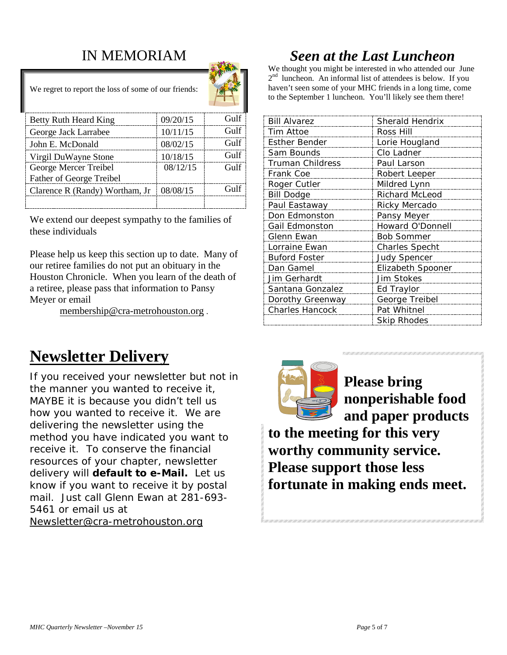#### IN MEMORIAM

We regret to report the loss of some of our friends:



| Betty Ruth Heard King          | 09/20/15 | Gulf               |
|--------------------------------|----------|--------------------|
| George Jack Larrabee           | 10/11/15 | Gulf               |
| John E. McDonald               | 08/02/15 | Gulf               |
| Virgil DuWayne Stone           | 10/18/15 | Gulf               |
| George Mercer Treibel          | 08/12/15 | Gulf               |
| Father of George Treibel       |          |                    |
| Clarence R (Randy) Wortham, Jr | 08/08/15 | G <sub>11</sub> 1f |
|                                |          |                    |

We extend our deepest sympathy to the families of these individuals

Please help us keep this section up to date. Many of our retiree families do not put an obituary in the Houston Chronicle. When you learn of the death of a retiree, please pass that information to Pansy Meyer or email

[membership@cra-metrohouston.org](mailto:membership@cra-metrohouston.org) .

# **Newsletter Delivery**

If you received your newsletter but not in the manner you wanted to receive it, MAYBE it is because you didn't tell us how you wanted to receive it. We are delivering the newsletter using the method you have indicated you want to receive it. To conserve the financial resources of your chapter, newsletter delivery will **default to e-Mail.** Let us know if you want to receive it by postal mail. Just call Glenn Ewan at 281-693- 5461 or email us at [Newsletter@cra-metrohouston.org](mailto:Newsletter@cra-metrohouston.org)

### *Seen at the Last Luncheon*

We thought you might be interested in who attended our June  $2<sup>nd</sup>$  luncheon. An informal list of attendees is below. If you haven't seen some of your MHC friends in a long time, come to the September 1 luncheon. You'll likely see them there!

| <b>Bill Alvarez</b>     | Sherald Hendrix       |  |
|-------------------------|-----------------------|--|
| Tim Attoe               | Ross Hill             |  |
| <b>Esther Bender</b>    | Lorie Hougland        |  |
| Sam Bounds              | Clo Ladner            |  |
| <b>Truman Childress</b> | Paul Larson           |  |
| Frank Coe               | Robert Leeper         |  |
| Roger Cutler            | Mildred Lynn          |  |
| <b>Bill Dodge</b>       | <b>Richard McLeod</b> |  |
| Paul Eastaway           | Ricky Mercado         |  |
| Don Edmonston           | Pansy Meyer           |  |
| Gail Edmonston          | Howard O'Donnell      |  |
| Glenn Ewan              | <b>Bob Sommer</b>     |  |
| Lorraine Ewan           | <b>Charles Specht</b> |  |
| <b>Buford Foster</b>    | <b>Judy Spencer</b>   |  |
| Dan Gamel               | Elizabeth Spooner     |  |
| Jim Gerhardt            | <b>Jim Stokes</b>     |  |
| Santana Gonzalez        | Ed Traylor            |  |
| Dorothy Greenway        | George Treibel        |  |
| <b>Charles Hancock</b>  | Pat Whitnel           |  |
|                         | <b>Skip Rhodes</b>    |  |



**Please bring nonperishable food and paper products** 

**to the meeting for this very worthy community service. Please support those less fortunate in making ends meet.**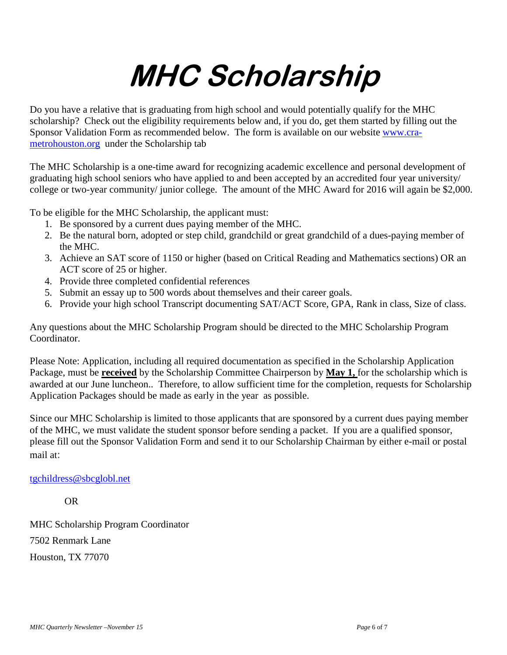# **MHC Scholarship**

Do you have a relative that is graduating from high school and would potentially qualify for the MHC scholarship? Check out the eligibility requirements below and, if you do, get them started by filling out the Sponsor Validation Form as recommended below. The form is available on our website [www.cra](http://www.cra-metrohouston.org/)[metrohouston.org](http://www.cra-metrohouston.org/) under the Scholarship tab

The MHC Scholarship is a one-time award for recognizing academic excellence and personal development of graduating high school seniors who have applied to and been accepted by an accredited four year university/ college or two-year community/ junior college. The amount of the MHC Award for 2016 will again be \$2,000.

To be eligible for the MHC Scholarship, the applicant must:

- 1. Be sponsored by a current dues paying member of the MHC.
- 2. Be the natural born, adopted or step child, grandchild or great grandchild of a dues-paying member of the MHC.
- 3. Achieve an SAT score of 1150 or higher (based on Critical Reading and Mathematics sections) OR an ACT score of 25 or higher.
- 4. Provide three completed confidential references
- 5. Submit an essay up to 500 words about themselves and their career goals.
- 6. Provide your high school Transcript documenting SAT/ACT Score, GPA, Rank in class, Size of class.

Any questions about the MHC Scholarship Program should be directed to the MHC Scholarship Program Coordinator.

Please Note: Application, including all required documentation as specified in the Scholarship Application Package, must be **received** by the Scholarship Committee Chairperson by **May 1,** for the scholarship which is awarded at our June luncheon.. Therefore, to allow sufficient time for the completion, requests for Scholarship Application Packages should be made as early in the year as possible.

Since our MHC Scholarship is limited to those applicants that are sponsored by a current dues paying member of the MHC, we must validate the student sponsor before sending a packet. If you are a qualified sponsor, please fill out the Sponsor Validation Form and send it to our Scholarship Chairman by either e-mail or postal mail at:

#### [tgchildress@sbcglobl.net](mailto:tgchildress@sbcglobl.net)

OR

MHC Scholarship Program Coordinator 7502 Renmark Lane Houston, TX 77070